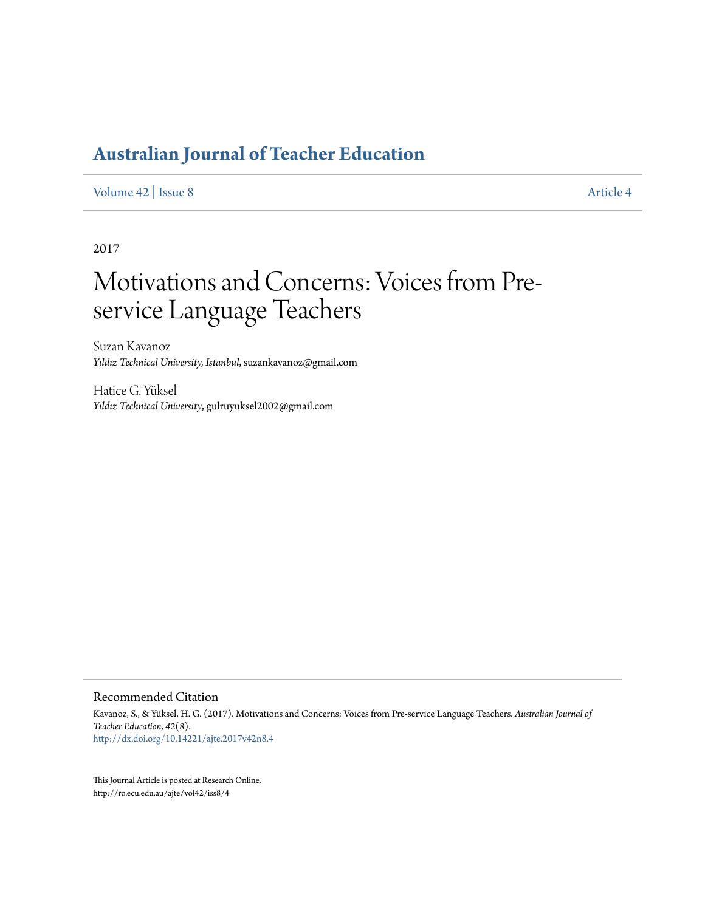[Volume 42](http://ro.ecu.edu.au/ajte/vol42) | [Issue 8](http://ro.ecu.edu.au/ajte/vol42/iss8) [Article 4](http://ro.ecu.edu.au/ajte/vol42/iss8/4)

2017

# Motivations and Concerns: Voices from Preservice Language Teachers

Suzan Kavanoz *Yıldız Technical University, Istanbul*, suzankavanoz@gmail.com

Hatice G. Yüksel *Yıldız Technical University*, gulruyuksel2002@gmail.com

#### Recommended Citation

Kavanoz, S., & Yüksel, H. G. (2017). Motivations and Concerns: Voices from Pre-service Language Teachers. *Australian Journal of Teacher Education, 42*(8). <http://dx.doi.org/10.14221/ajte.2017v42n8.4>

This Journal Article is posted at Research Online. http://ro.ecu.edu.au/ajte/vol42/iss8/4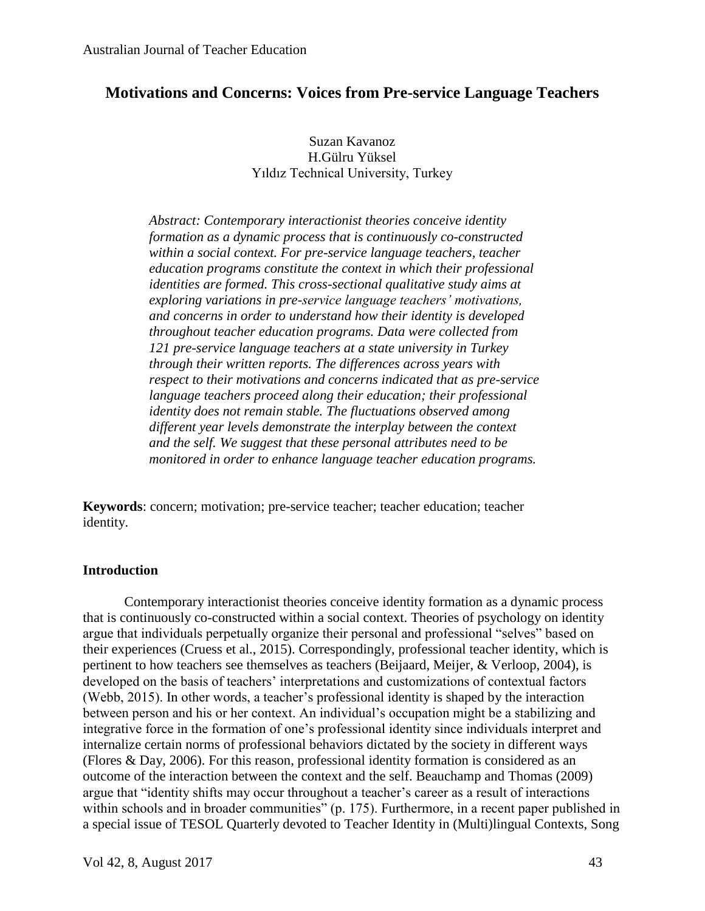# **Motivations and Concerns: Voices from Pre-service Language Teachers**

Suzan Kavanoz H.Gülru Yüksel Yıldız Technical University, Turkey

*Abstract: Contemporary interactionist theories conceive identity formation as a dynamic process that is continuously co-constructed within a social context. For pre-service language teachers, teacher education programs constitute the context in which their professional identities are formed. This cross-sectional qualitative study aims at exploring variations in pre-service language teachers' motivations, and concerns in order to understand how their identity is developed throughout teacher education programs. Data were collected from 121 pre-service language teachers at a state university in Turkey through their written reports. The differences across years with respect to their motivations and concerns indicated that as pre-service language teachers proceed along their education; their professional identity does not remain stable. The fluctuations observed among different year levels demonstrate the interplay between the context and the self. We suggest that these personal attributes need to be monitored in order to enhance language teacher education programs.* 

**Keywords**: concern; motivation; pre-service teacher; teacher education; teacher identity.

#### **Introduction**

Contemporary interactionist theories conceive identity formation as a dynamic process that is continuously co-constructed within a social context. Theories of psychology on identity argue that individuals perpetually organize their personal and professional "selves" based on their experiences (Cruess et al., 2015). Correspondingly, professional teacher identity, which is pertinent to how teachers see themselves as teachers (Beijaard, Meijer, & Verloop, 2004), is developed on the basis of teachers' interpretations and customizations of contextual factors (Webb, 2015). In other words, a teacher's professional identity is shaped by the interaction between person and his or her context. An individual's occupation might be a stabilizing and integrative force in the formation of one's professional identity since individuals interpret and internalize certain norms of professional behaviors dictated by the society in different ways (Flores & Day, 2006). For this reason, professional identity formation is considered as an outcome of the interaction between the context and the self. Beauchamp and Thomas (2009) argue that "identity shifts may occur throughout a teacher's career as a result of interactions within schools and in broader communities" (p. 175). Furthermore, in a recent paper published in a special issue of TESOL Quarterly devoted to Teacher Identity in (Multi)lingual Contexts, Song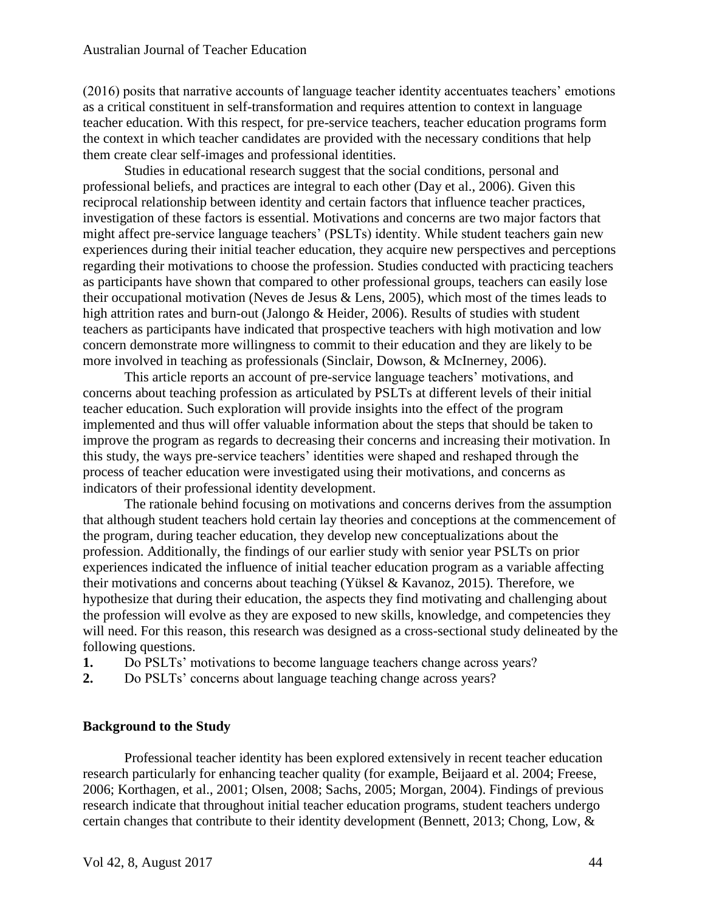(2016) posits that narrative accounts of language teacher identity accentuates teachers' emotions as a critical constituent in self-transformation and requires attention to context in language teacher education. With this respect, for pre-service teachers, teacher education programs form the context in which teacher candidates are provided with the necessary conditions that help them create clear self-images and professional identities.

Studies in educational research suggest that the social conditions, personal and professional beliefs, and practices are integral to each other (Day et al., 2006). Given this reciprocal relationship between identity and certain factors that influence teacher practices, investigation of these factors is essential. Motivations and concerns are two major factors that might affect pre-service language teachers' (PSLTs) identity. While student teachers gain new experiences during their initial teacher education, they acquire new perspectives and perceptions regarding their motivations to choose the profession. Studies conducted with practicing teachers as participants have shown that compared to other professional groups, teachers can easily lose their occupational motivation (Neves de Jesus & Lens, 2005), which most of the times leads to high attrition rates and burn-out (Jalongo & Heider, 2006). Results of studies with student teachers as participants have indicated that prospective teachers with high motivation and low concern demonstrate more willingness to commit to their education and they are likely to be more involved in teaching as professionals (Sinclair, Dowson, & McInerney, 2006).

This article reports an account of pre-service language teachers' motivations, and concerns about teaching profession as articulated by PSLTs at different levels of their initial teacher education. Such exploration will provide insights into the effect of the program implemented and thus will offer valuable information about the steps that should be taken to improve the program as regards to decreasing their concerns and increasing their motivation. In this study, the ways pre-service teachers' identities were shaped and reshaped through the process of teacher education were investigated using their motivations, and concerns as indicators of their professional identity development.

The rationale behind focusing on motivations and concerns derives from the assumption that although student teachers hold certain lay theories and conceptions at the commencement of the program, during teacher education, they develop new conceptualizations about the profession. Additionally, the findings of our earlier study with senior year PSLTs on prior experiences indicated the influence of initial teacher education program as a variable affecting their motivations and concerns about teaching (Yüksel & Kavanoz, 2015). Therefore, we hypothesize that during their education, the aspects they find motivating and challenging about the profession will evolve as they are exposed to new skills, knowledge, and competencies they will need. For this reason, this research was designed as a cross-sectional study delineated by the following questions.

**1.** Do PSLTs' motivations to become language teachers change across years?

**2.** Do PSLTs' concerns about language teaching change across years?

#### **Background to the Study**

Professional teacher identity has been explored extensively in recent teacher education research particularly for enhancing teacher quality (for example, Beijaard et al. 2004; Freese, 2006; Korthagen, et al., 2001; Olsen, 2008; Sachs, 2005; Morgan, 2004). Findings of previous research indicate that throughout initial teacher education programs, student teachers undergo certain changes that contribute to their identity development (Bennett, 2013; Chong, Low, &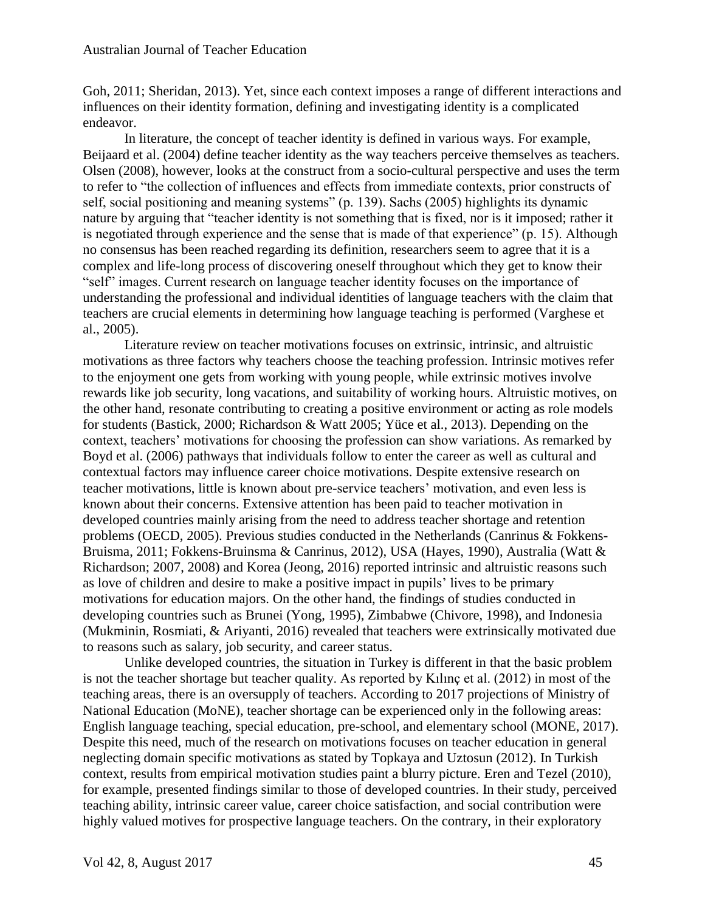Goh, 2011; Sheridan, 2013). Yet, since each context imposes a range of different interactions and influences on their identity formation, defining and investigating identity is a complicated endeavor.

In literature, the concept of teacher identity is defined in various ways. For example, Beijaard et al. (2004) define teacher identity as the way teachers perceive themselves as teachers. Olsen (2008), however, looks at the construct from a socio-cultural perspective and uses the term to refer to "the collection of influences and effects from immediate contexts, prior constructs of self, social positioning and meaning systems" (p. 139). Sachs (2005) highlights its dynamic nature by arguing that "teacher identity is not something that is fixed, nor is it imposed; rather it is negotiated through experience and the sense that is made of that experience" (p. 15). Although no consensus has been reached regarding its definition, researchers seem to agree that it is a complex and life-long process of discovering oneself throughout which they get to know their "self" images. Current research on language teacher identity focuses on the importance of understanding the professional and individual identities of language teachers with the claim that teachers are crucial elements in determining how language teaching is performed (Varghese et al., 2005).

Literature review on teacher motivations focuses on extrinsic, intrinsic, and altruistic motivations as three factors why teachers choose the teaching profession. Intrinsic motives refer to the enjoyment one gets from working with young people, while extrinsic motives involve rewards like job security, long vacations, and suitability of working hours. Altruistic motives, on the other hand, resonate contributing to creating a positive environment or acting as role models for students (Bastick, 2000; Richardson & Watt 2005; Yüce et al., 2013). Depending on the context, teachers' motivations for choosing the profession can show variations. As remarked by Boyd et al. (2006) pathways that individuals follow to enter the career as well as cultural and contextual factors may influence career choice motivations. Despite extensive research on teacher motivations, little is known about pre-service teachers' motivation, and even less is known about their concerns. Extensive attention has been paid to teacher motivation in developed countries mainly arising from the need to address teacher shortage and retention problems (OECD, 2005). Previous studies conducted in the Netherlands (Canrinus & Fokkens-Bruisma, 2011; Fokkens-Bruinsma & Canrinus, 2012), USA (Hayes, 1990), Australia (Watt & Richardson; 2007, 2008) and Korea (Jeong, 2016) reported intrinsic and altruistic reasons such as love of children and desire to make a positive impact in pupils' lives to be primary motivations for education majors. On the other hand, the findings of studies conducted in developing countries such as Brunei (Yong, 1995), Zimbabwe (Chivore, 1998), and Indonesia (Mukminin, Rosmiati, & Ariyanti, 2016) revealed that teachers were extrinsically motivated due to reasons such as salary, job security, and career status.

Unlike developed countries, the situation in Turkey is different in that the basic problem is not the teacher shortage but teacher quality. As reported by Kılınç et al. (2012) in most of the teaching areas, there is an oversupply of teachers. According to 2017 projections of Ministry of National Education (MoNE), teacher shortage can be experienced only in the following areas: English language teaching, special education, pre-school, and elementary school (MONE, 2017). Despite this need, much of the research on motivations focuses on teacher education in general neglecting domain specific motivations as stated by Topkaya and Uztosun (2012). In Turkish context, results from empirical motivation studies paint a blurry picture. Eren and Tezel (2010), for example, presented findings similar to those of developed countries. In their study, perceived teaching ability, intrinsic career value, career choice satisfaction, and social contribution were highly valued motives for prospective language teachers. On the contrary, in their exploratory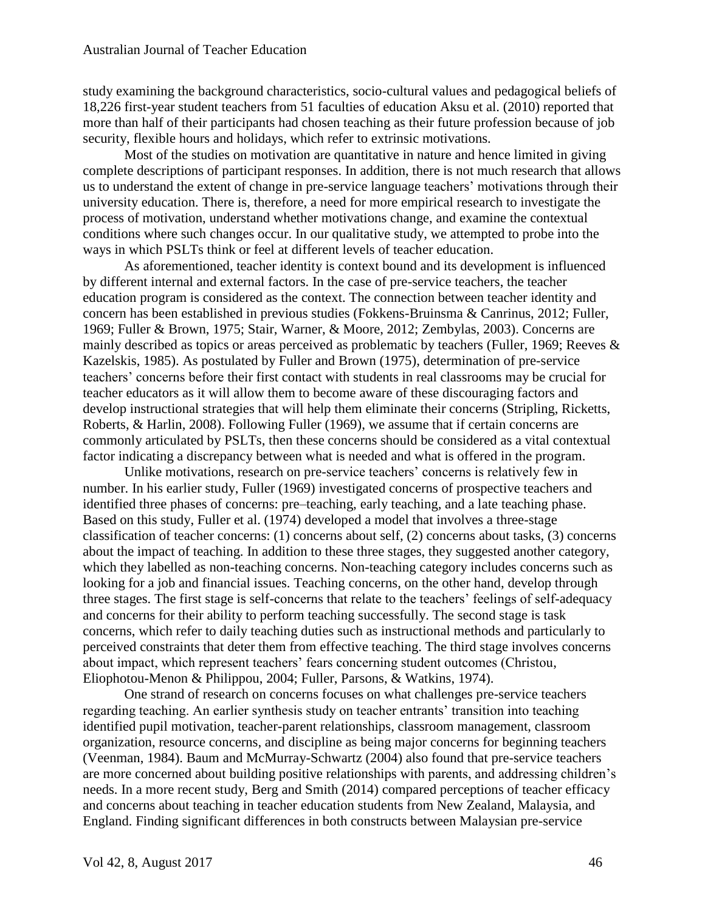study examining the background characteristics, socio-cultural values and pedagogical beliefs of 18,226 first-year student teachers from 51 faculties of education Aksu et al. (2010) reported that more than half of their participants had chosen teaching as their future profession because of job security, flexible hours and holidays, which refer to extrinsic motivations.

Most of the studies on motivation are quantitative in nature and hence limited in giving complete descriptions of participant responses. In addition, there is not much research that allows us to understand the extent of change in pre-service language teachers' motivations through their university education. There is, therefore, a need for more empirical research to investigate the process of motivation, understand whether motivations change, and examine the contextual conditions where such changes occur. In our qualitative study, we attempted to probe into the ways in which PSLTs think or feel at different levels of teacher education.

As aforementioned, teacher identity is context bound and its development is influenced by different internal and external factors. In the case of pre-service teachers, the teacher education program is considered as the context. The connection between teacher identity and concern has been established in previous studies (Fokkens-Bruinsma & Canrinus, 2012; Fuller, 1969; Fuller & Brown, 1975; Stair, Warner, & Moore, 2012; Zembylas, 2003). Concerns are mainly described as topics or areas perceived as problematic by teachers (Fuller, 1969; Reeves & Kazelskis, 1985). As postulated by Fuller and Brown (1975), determination of pre-service teachers' concerns before their first contact with students in real classrooms may be crucial for teacher educators as it will allow them to become aware of these discouraging factors and develop instructional strategies that will help them eliminate their concerns (Stripling, Ricketts, Roberts, & Harlin, 2008). Following Fuller (1969), we assume that if certain concerns are commonly articulated by PSLTs, then these concerns should be considered as a vital contextual factor indicating a discrepancy between what is needed and what is offered in the program.

Unlike motivations, research on pre-service teachers' concerns is relatively few in number. In his earlier study, Fuller (1969) investigated concerns of prospective teachers and identified three phases of concerns: pre–teaching, early teaching, and a late teaching phase. Based on this study, Fuller et al. (1974) developed a model that involves a three-stage classification of teacher concerns: (1) concerns about self, (2) concerns about tasks, (3) concerns about the impact of teaching. In addition to these three stages, they suggested another category, which they labelled as non-teaching concerns. Non-teaching category includes concerns such as looking for a job and financial issues. Teaching concerns, on the other hand, develop through three stages. The first stage is self-concerns that relate to the teachers' feelings of self-adequacy and concerns for their ability to perform teaching successfully. The second stage is task concerns, which refer to daily teaching duties such as instructional methods and particularly to perceived constraints that deter them from effective teaching. The third stage involves concerns about impact, which represent teachers' fears concerning student outcomes (Christou, Eliophotou-Menon & Philippou, 2004; Fuller, Parsons, & Watkins, 1974).

One strand of research on concerns focuses on what challenges pre-service teachers regarding teaching. An earlier synthesis study on teacher entrants' transition into teaching identified pupil motivation, teacher-parent relationships, classroom management, classroom organization, resource concerns, and discipline as being major concerns for beginning teachers (Veenman, 1984). Baum and McMurray-Schwartz (2004) also found that pre-service teachers are more concerned about building positive relationships with parents, and addressing children's needs. In a more recent study, Berg and Smith (2014) compared perceptions of teacher efficacy and concerns about teaching in teacher education students from New Zealand, Malaysia, and England. Finding significant differences in both constructs between Malaysian pre-service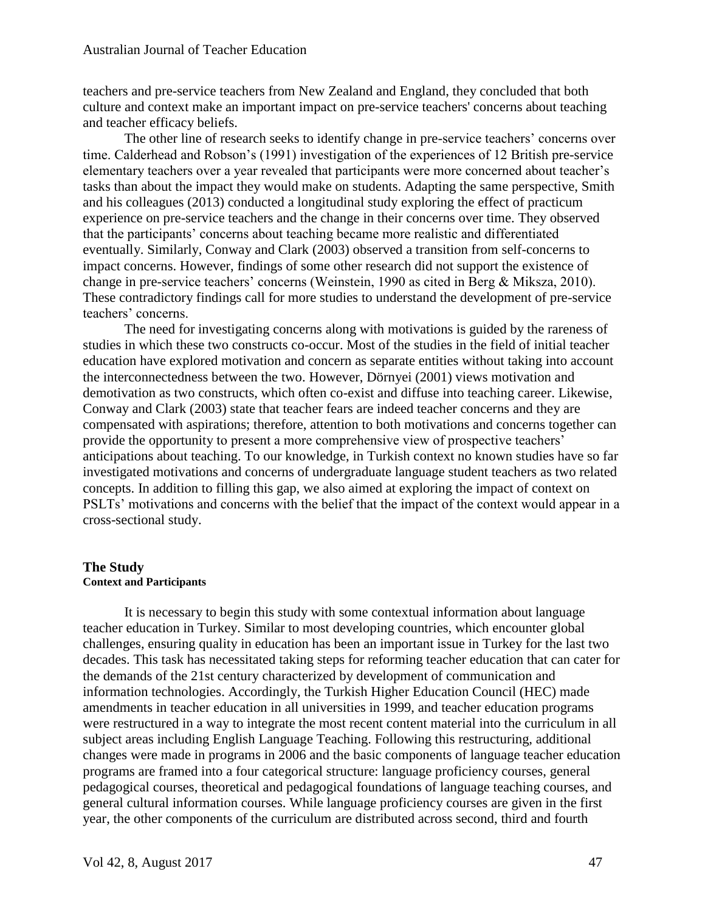teachers and pre-service teachers from New Zealand and England, they concluded that both culture and context make an important impact on pre-service teachers' concerns about teaching and teacher efficacy beliefs.

The other line of research seeks to identify change in pre-service teachers' concerns over time. Calderhead and Robson's (1991) investigation of the experiences of 12 British pre-service elementary teachers over a year revealed that participants were more concerned about teacher's tasks than about the impact they would make on students. Adapting the same perspective, Smith and his colleagues (2013) conducted a longitudinal study exploring the effect of practicum experience on pre-service teachers and the change in their concerns over time. They observed that the participants' concerns about teaching became more realistic and differentiated eventually. Similarly, Conway and Clark (2003) observed a transition from self-concerns to impact concerns. However, findings of some other research did not support the existence of change in pre-service teachers' concerns (Weinstein, 1990 as cited in Berg & Miksza, 2010). These contradictory findings call for more studies to understand the development of pre-service teachers' concerns.

The need for investigating concerns along with motivations is guided by the rareness of studies in which these two constructs co-occur. Most of the studies in the field of initial teacher education have explored motivation and concern as separate entities without taking into account the interconnectedness between the two. However, Dörnyei (2001) views motivation and demotivation as two constructs, which often co-exist and diffuse into teaching career. Likewise, Conway and Clark (2003) state that teacher fears are indeed teacher concerns and they are compensated with aspirations; therefore, attention to both motivations and concerns together can provide the opportunity to present a more comprehensive view of prospective teachers' anticipations about teaching. To our knowledge, in Turkish context no known studies have so far investigated motivations and concerns of undergraduate language student teachers as two related concepts. In addition to filling this gap, we also aimed at exploring the impact of context on PSLTs' motivations and concerns with the belief that the impact of the context would appear in a cross-sectional study.

#### **The Study Context and Participants**

It is necessary to begin this study with some contextual information about language teacher education in Turkey. Similar to most developing countries, which encounter global challenges, ensuring quality in education has been an important issue in Turkey for the last two decades. This task has necessitated taking steps for reforming teacher education that can cater for the demands of the 21st century characterized by development of communication and information technologies. Accordingly, the Turkish Higher Education Council (HEC) made amendments in teacher education in all universities in 1999, and teacher education programs were restructured in a way to integrate the most recent content material into the curriculum in all subject areas including English Language Teaching. Following this restructuring, additional changes were made in programs in 2006 and the basic components of language teacher education programs are framed into a four categorical structure: language proficiency courses, general pedagogical courses, theoretical and pedagogical foundations of language teaching courses, and general cultural information courses. While language proficiency courses are given in the first year, the other components of the curriculum are distributed across second, third and fourth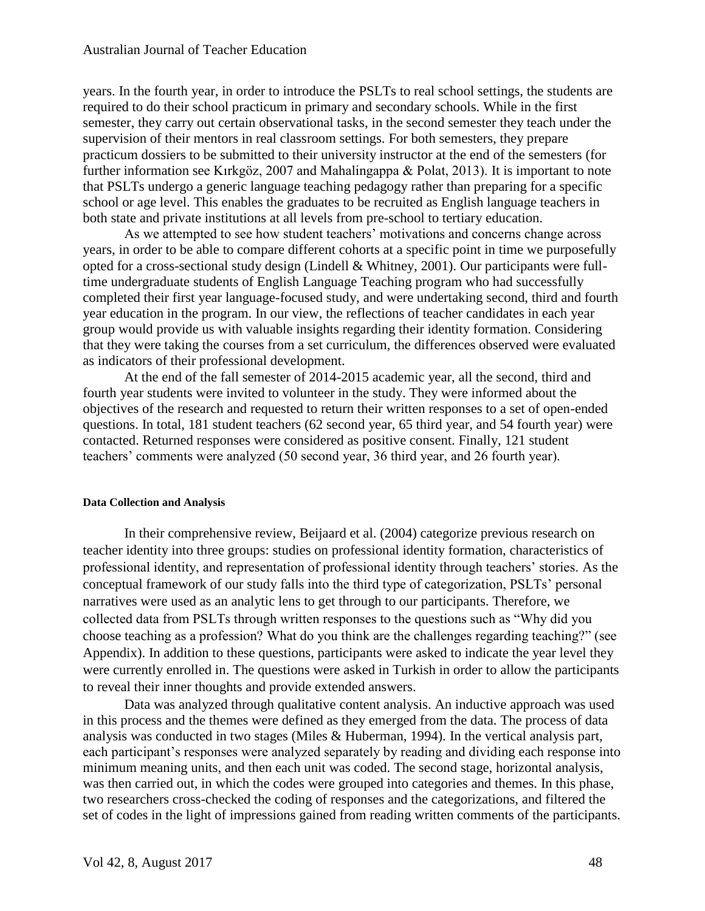years. In the fourth year, in order to introduce the PSLTs to real school settings, the students are required to do their school practicum in primary and secondary schools. While in the first semester, they carry out certain observational tasks, in the second semester they teach under the supervision of their mentors in real classroom settings. For both semesters, they prepare practicum dossiers to be submitted to their university instructor at the end of the semesters (for further information see Kırkgöz, 2007 and Mahalingappa & Polat, 2013). It is important to note that PSLTs undergo a generic language teaching pedagogy rather than preparing for a specific school or age level. This enables the graduates to be recruited as English language teachers in both state and private institutions at all levels from pre-school to tertiary education.

As we attempted to see how student teachers' motivations and concerns change across years, in order to be able to compare different cohorts at a specific point in time we purposefully opted for a cross-sectional study design (Lindell & Whitney, 2001). Our participants were fulltime undergraduate students of English Language Teaching program who had successfully completed their first year language-focused study, and were undertaking second, third and fourth year education in the program. In our view, the reflections of teacher candidates in each year group would provide us with valuable insights regarding their identity formation. Considering that they were taking the courses from a set curriculum, the differences observed were evaluated as indicators of their professional development.

At the end of the fall semester of 2014-2015 academic year, all the second, third and fourth year students were invited to volunteer in the study. They were informed about the objectives of the research and requested to return their written responses to a set of open-ended questions. In total, 181 student teachers (62 second year, 65 third year, and 54 fourth year) were contacted. Returned responses were considered as positive consent. Finally, 121 student teachers' comments were analyzed (50 second year, 36 third year, and 26 fourth year).

#### **Data Collection and Analysis**

In their comprehensive review, Beijaard et al. (2004) categorize previous research on teacher identity into three groups: studies on professional identity formation, characteristics of professional identity, and representation of professional identity through teachers' stories. As the conceptual framework of our study falls into the third type of categorization, PSLTs' personal narratives were used as an analytic lens to get through to our participants. Therefore, we collected data from PSLTs through written responses to the questions such as "Why did you choose teaching as a profession? What do you think are the challenges regarding teaching?" (see Appendix). In addition to these questions, participants were asked to indicate the year level they were currently enrolled in. The questions were asked in Turkish in order to allow the participants to reveal their inner thoughts and provide extended answers.

Data was analyzed through qualitative content analysis. An inductive approach was used in this process and the themes were defined as they emerged from the data. The process of data analysis was conducted in two stages (Miles & Huberman, 1994). In the vertical analysis part, each participant's responses were analyzed separately by reading and dividing each response into minimum meaning units, and then each unit was coded. The second stage, horizontal analysis, was then carried out, in which the codes were grouped into categories and themes. In this phase, two researchers cross-checked the coding of responses and the categorizations, and filtered the set of codes in the light of impressions gained from reading written comments of the participants.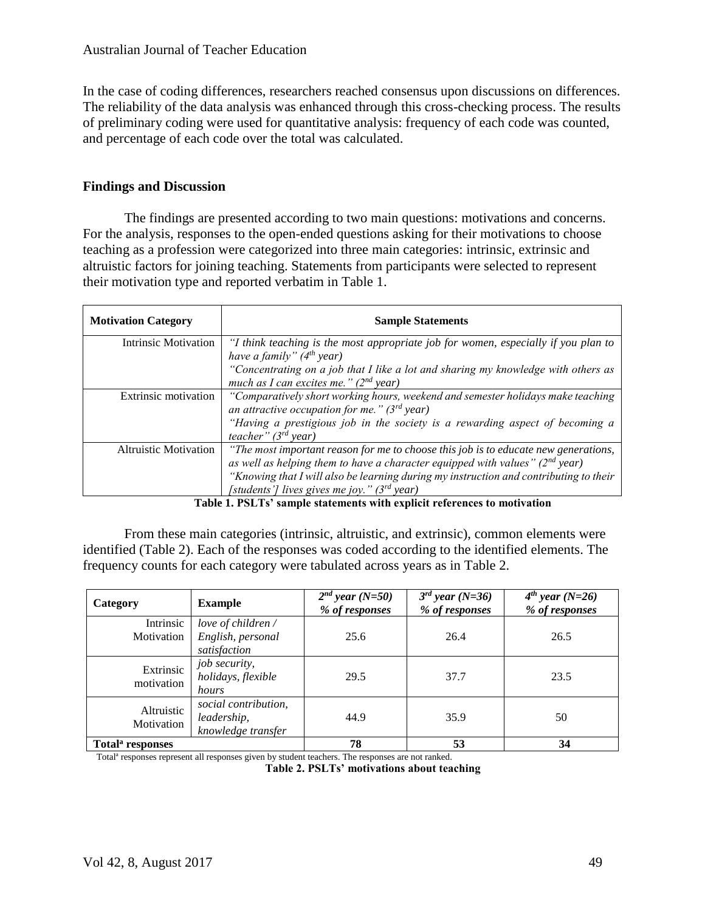In the case of coding differences, researchers reached consensus upon discussions on differences. The reliability of the data analysis was enhanced through this cross-checking process. The results of preliminary coding were used for quantitative analysis: frequency of each code was counted, and percentage of each code over the total was calculated.

# **Findings and Discussion**

The findings are presented according to two main questions: motivations and concerns. For the analysis, responses to the open-ended questions asking for their motivations to choose teaching as a profession were categorized into three main categories: intrinsic, extrinsic and altruistic factors for joining teaching. Statements from participants were selected to represent their motivation type and reported verbatim in Table 1.

| <b>Motivation Category</b>   | <b>Sample Statements</b>                                                                                                                                              |
|------------------------------|-----------------------------------------------------------------------------------------------------------------------------------------------------------------------|
| <b>Intrinsic Motivation</b>  | "I think teaching is the most appropriate job for women, especially if you plan to<br>have a family" $(4th$ year)                                                     |
|                              | "Concentrating on a job that I like a lot and sharing my knowledge with others as<br>much as I can excites me." $(2^{nd}$ year)                                       |
| Extrinsic motivation         | "Comparatively short working hours, weekend and semester holidays make teaching<br>an attractive occupation for me." $(3^{rd}$ year)                                  |
|                              | "Having a prestigious job in the society is a rewarding aspect of becoming a<br>teacher" $(3^{rd}$ year)                                                              |
| <b>Altruistic Motivation</b> | "The most important reason for me to choose this job is to educate new generations,<br>as well as helping them to have a character equipped with values" $(2nd$ year) |
|                              | "Knowing that I will also be learning during my instruction and contributing to their<br>[students'] lives gives me joy." ( $3^{rd}$ year)                            |

**Table 1. PSLTs' sample statements with explicit references to motivation**

From these main categories (intrinsic, altruistic, and extrinsic), common elements were identified (Table 2). Each of the responses was coded according to the identified elements. The frequency counts for each category were tabulated across years as in Table 2.

| Category                     | <b>Example</b>                                            | $2^{nd}$ year (N=50)<br>% of responses | $3^{rd}$ year (N=36)<br>% of responses | $4^{th}$ year (N=26)<br>% of responses |
|------------------------------|-----------------------------------------------------------|----------------------------------------|----------------------------------------|----------------------------------------|
| Intrinsic<br>Motivation      | love of children /<br>English, personal<br>satisfaction   | 25.6                                   | 26.4                                   | 26.5                                   |
| Extrinsic<br>motivation      | job security,<br>holidays, flexible<br>hours              | 29.5                                   | 37.7                                   | 23.5                                   |
| Altruistic<br>Motivation     | social contribution,<br>leadership,<br>knowledge transfer | 44.9                                   | 35.9                                   | 50                                     |
| Total <sup>a</sup> responses |                                                           | 78                                     | 53                                     | 34                                     |

Total<sup>a</sup> responses represent all responses given by student teachers. The responses are not ranked.

**Table 2. PSLTs' motivations about teaching**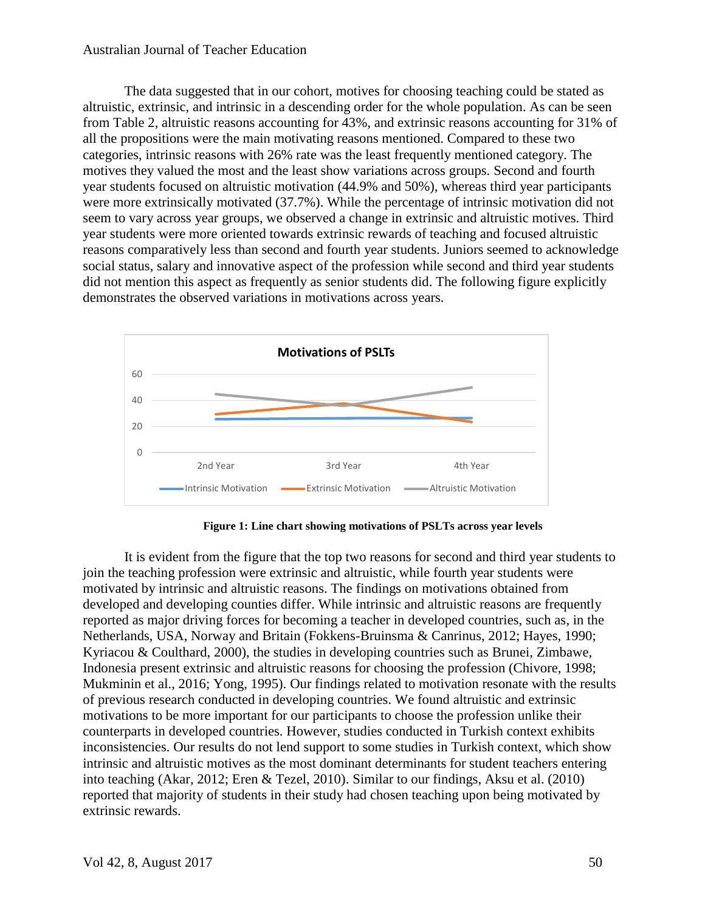The data suggested that in our cohort, motives for choosing teaching could be stated as altruistic, extrinsic, and intrinsic in a descending order for the whole population. As can be seen from Table 2, altruistic reasons accounting for 43%, and extrinsic reasons accounting for 31% of all the propositions were the main motivating reasons mentioned. Compared to these two categories, intrinsic reasons with 26% rate was the least frequently mentioned category. The motives they valued the most and the least show variations across groups. Second and fourth year students focused on altruistic motivation (44.9% and 50%), whereas third year participants were more extrinsically motivated (37.7%). While the percentage of intrinsic motivation did not seem to vary across year groups, we observed a change in extrinsic and altruistic motives. Third year students were more oriented towards extrinsic rewards of teaching and focused altruistic reasons comparatively less than second and fourth year students. Juniors seemed to acknowledge social status, salary and innovative aspect of the profession while second and third year students did not mention this aspect as frequently as senior students did. The following figure explicitly demonstrates the observed variations in motivations across years.



**Figure 1: Line chart showing motivations of PSLTs across year levels**

It is evident from the figure that the top two reasons for second and third year students to join the teaching profession were extrinsic and altruistic, while fourth year students were motivated by intrinsic and altruistic reasons. The findings on motivations obtained from developed and developing counties differ. While intrinsic and altruistic reasons are frequently reported as major driving forces for becoming a teacher in developed countries, such as, in the Netherlands, USA, Norway and Britain (Fokkens-Bruinsma & Canrinus, 2012; Hayes, 1990; Kyriacou & Coulthard, 2000), the studies in developing countries such as Brunei, Zimbawe, Indonesia present extrinsic and altruistic reasons for choosing the profession (Chivore, 1998; Mukminin et al., 2016; Yong, 1995). Our findings related to motivation resonate with the results of previous research conducted in developing countries. We found altruistic and extrinsic motivations to be more important for our participants to choose the profession unlike their counterparts in developed countries. However, studies conducted in Turkish context exhibits inconsistencies. Our results do not lend support to some studies in Turkish context, which show intrinsic and altruistic motives as the most dominant determinants for student teachers entering into teaching (Akar, 2012; Eren & Tezel, 2010). Similar to our findings, Aksu et al. (2010) reported that majority of students in their study had chosen teaching upon being motivated by extrinsic rewards.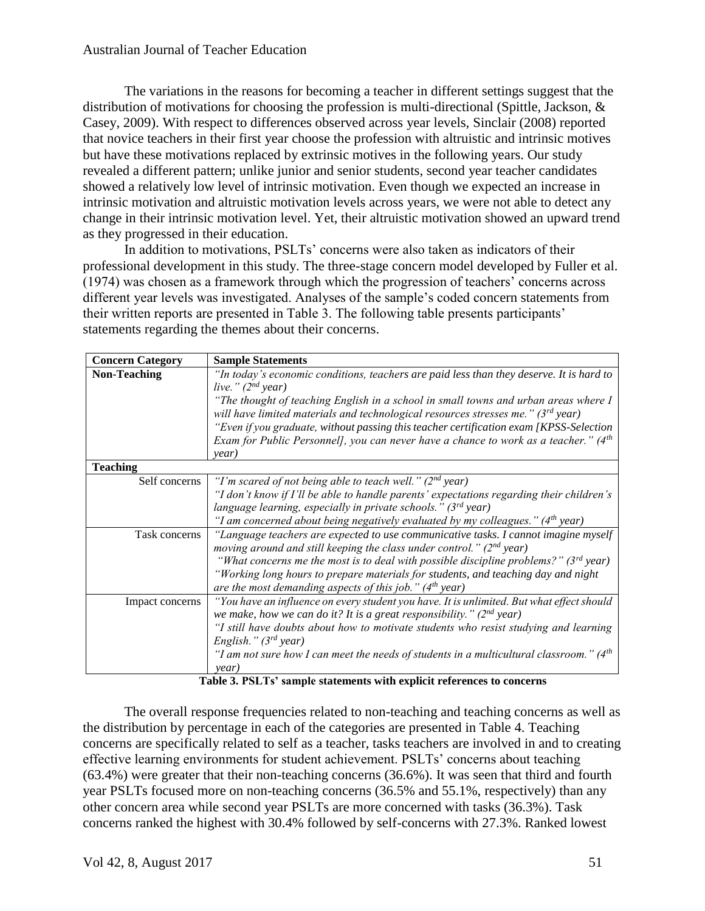The variations in the reasons for becoming a teacher in different settings suggest that the distribution of motivations for choosing the profession is multi-directional (Spittle, Jackson, & Casey, 2009). With respect to differences observed across year levels, Sinclair (2008) reported that novice teachers in their first year choose the profession with altruistic and intrinsic motives but have these motivations replaced by extrinsic motives in the following years. Our study revealed a different pattern; unlike junior and senior students, second year teacher candidates showed a relatively low level of intrinsic motivation. Even though we expected an increase in intrinsic motivation and altruistic motivation levels across years, we were not able to detect any change in their intrinsic motivation level. Yet, their altruistic motivation showed an upward trend as they progressed in their education.

In addition to motivations, PSLTs' concerns were also taken as indicators of their professional development in this study. The three-stage concern model developed by Fuller et al. (1974) was chosen as a framework through which the progression of teachers' concerns across different year levels was investigated. Analyses of the sample's coded concern statements from their written reports are presented in Table 3. The following table presents participants' statements regarding the themes about their concerns.

| <b>Concern Category</b> | <b>Sample Statements</b>                                                                   |  |  |  |  |
|-------------------------|--------------------------------------------------------------------------------------------|--|--|--|--|
| <b>Non-Teaching</b>     | "In today's economic conditions, teachers are paid less than they deserve. It is hard to   |  |  |  |  |
|                         | live." $(2^{nd}$ year)                                                                     |  |  |  |  |
|                         | "The thought of teaching English in a school in small towns and urban areas where I        |  |  |  |  |
|                         | will have limited materials and technological resources stresses me." $(3^{rd}$ year)      |  |  |  |  |
|                         | "Even if you graduate, without passing this teacher certification exam [KPSS-Selection     |  |  |  |  |
|                         | Exam for Public Personnell, you can never have a chance to work as a teacher." $(4th$      |  |  |  |  |
|                         | year)                                                                                      |  |  |  |  |
| <b>Teaching</b>         |                                                                                            |  |  |  |  |
| Self concerns           | "I'm scared of not being able to teach well." ( $2nd$ year)                                |  |  |  |  |
|                         | "I don't know if I'll be able to handle parents' expectations regarding their children's   |  |  |  |  |
|                         | language learning, especially in private schools." (3 <sup>rd</sup> year)                  |  |  |  |  |
|                         | "I am concerned about being negatively evaluated by my colleagues." ( $4th$ year)          |  |  |  |  |
| Task concerns           | "Language teachers are expected to use communicative tasks. I cannot imagine myself        |  |  |  |  |
|                         | moving around and still keeping the class under control." $(2^{nd}$ year)                  |  |  |  |  |
|                         | "What concerns me the most is to deal with possible discipline problems?" ( $3^{rd}$ year) |  |  |  |  |
|                         | "Working long hours to prepare materials for students, and teaching day and night          |  |  |  |  |
|                         | are the most demanding aspects of this job." $(4th$ year)                                  |  |  |  |  |
| Impact concerns         | "You have an influence on every student you have. It is unlimited. But what effect should  |  |  |  |  |
|                         | we make, how we can do it? It is a great responsibility." $(2nd$ year)                     |  |  |  |  |
|                         | "I still have doubts about how to motivate students who resist studying and learning       |  |  |  |  |
|                         | English." $(3^{rd}$ year)                                                                  |  |  |  |  |
|                         | "I am not sure how I can meet the needs of students in a multicultural classroom." ( $4th$ |  |  |  |  |
|                         | year)                                                                                      |  |  |  |  |

**Table 3. PSLTs' sample statements with explicit references to concerns**

The overall response frequencies related to non-teaching and teaching concerns as well as the distribution by percentage in each of the categories are presented in Table 4. Teaching concerns are specifically related to self as a teacher, tasks teachers are involved in and to creating effective learning environments for student achievement. PSLTs' concerns about teaching (63.4%) were greater that their non-teaching concerns (36.6%). It was seen that third and fourth year PSLTs focused more on non-teaching concerns (36.5% and 55.1%, respectively) than any other concern area while second year PSLTs are more concerned with tasks (36.3%). Task concerns ranked the highest with 30.4% followed by self-concerns with 27.3%. Ranked lowest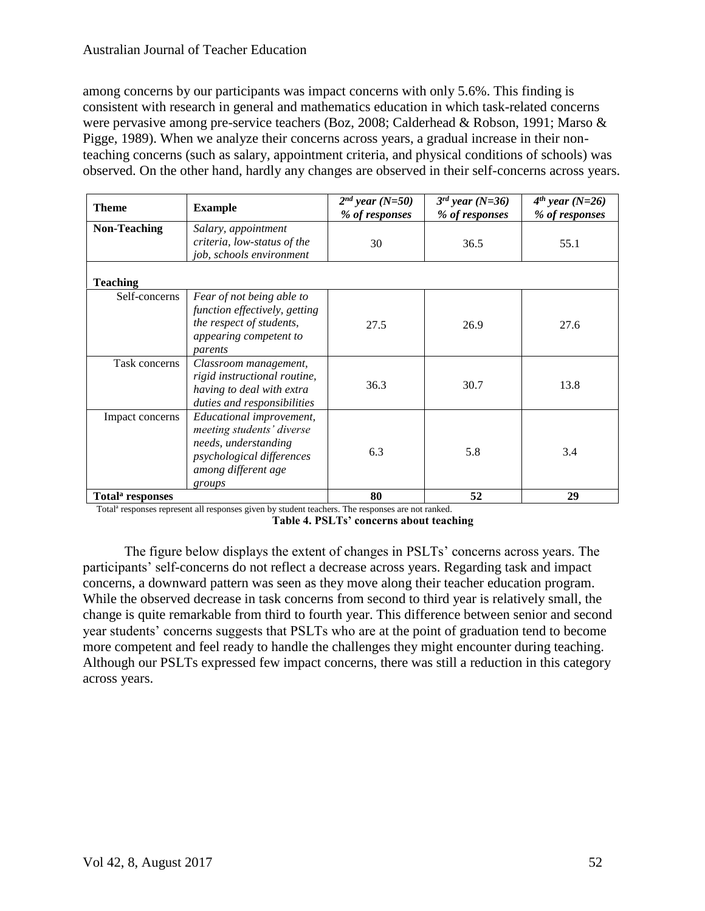among concerns by our participants was impact concerns with only 5.6%. This finding is consistent with research in general and mathematics education in which task-related concerns were pervasive among pre-service teachers (Boz, 2008; Calderhead & Robson, 1991; Marso & Pigge, 1989). When we analyze their concerns across years, a gradual increase in their nonteaching concerns (such as salary, appointment criteria, and physical conditions of schools) was observed. On the other hand, hardly any changes are observed in their self-concerns across years.

| <b>Theme</b>                 | <b>Example</b>                                                                                                                              | $2^{nd}$ year (N=50)<br>% of responses | $3^{rd}$ year (N=36)<br>% of responses | $4th$ year (N=26)<br>% of responses |
|------------------------------|---------------------------------------------------------------------------------------------------------------------------------------------|----------------------------------------|----------------------------------------|-------------------------------------|
| <b>Non-Teaching</b>          | Salary, appointment<br>criteria, low-status of the<br>job, schools environment                                                              | 30                                     | 36.5                                   | 55.1                                |
| <b>Teaching</b>              |                                                                                                                                             |                                        |                                        |                                     |
| Self-concerns                | Fear of not being able to<br>function effectively, getting<br>the respect of students,<br>appearing competent to<br>parents                 | 27.5                                   | 26.9                                   | 27.6                                |
| Task concerns                | Classroom management,<br>rigid instructional routine,<br>having to deal with extra<br>duties and responsibilities                           | 36.3                                   | 30.7                                   | 13.8                                |
| Impact concerns              | Educational improvement,<br>meeting students' diverse<br>needs, understanding<br>psychological differences<br>among different age<br>groups | 6.3                                    | 5.8                                    | 3.4                                 |
| Total <sup>a</sup> responses |                                                                                                                                             | 80                                     | 52                                     | 29                                  |

Total<sup>a</sup> responses represent all responses given by student teachers. The responses are not ranked. **Table 4. PSLTs' concerns about teaching**

The figure below displays the extent of changes in PSLTs' concerns across years. The participants' self-concerns do not reflect a decrease across years. Regarding task and impact concerns, a downward pattern was seen as they move along their teacher education program. While the observed decrease in task concerns from second to third year is relatively small, the change is quite remarkable from third to fourth year. This difference between senior and second year students' concerns suggests that PSLTs who are at the point of graduation tend to become more competent and feel ready to handle the challenges they might encounter during teaching. Although our PSLTs expressed few impact concerns, there was still a reduction in this category across years.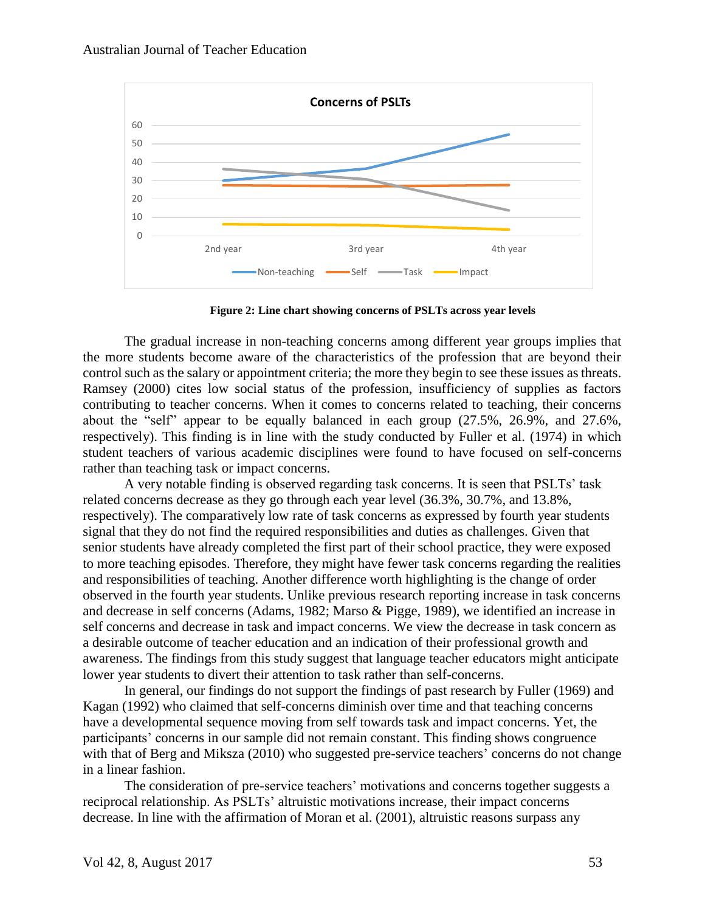

**Figure 2: Line chart showing concerns of PSLTs across year levels**

The gradual increase in non-teaching concerns among different year groups implies that the more students become aware of the characteristics of the profession that are beyond their control such as the salary or appointment criteria; the more they begin to see these issues as threats. Ramsey (2000) cites low social status of the profession, insufficiency of supplies as factors contributing to teacher concerns. When it comes to concerns related to teaching, their concerns about the "self" appear to be equally balanced in each group (27.5%, 26.9%, and 27.6%, respectively). This finding is in line with the study conducted by Fuller et al. (1974) in which student teachers of various academic disciplines were found to have focused on self-concerns rather than teaching task or impact concerns.

A very notable finding is observed regarding task concerns. It is seen that PSLTs' task related concerns decrease as they go through each year level (36.3%, 30.7%, and 13.8%, respectively). The comparatively low rate of task concerns as expressed by fourth year students signal that they do not find the required responsibilities and duties as challenges. Given that senior students have already completed the first part of their school practice, they were exposed to more teaching episodes. Therefore, they might have fewer task concerns regarding the realities and responsibilities of teaching. Another difference worth highlighting is the change of order observed in the fourth year students. Unlike previous research reporting increase in task concerns and decrease in self concerns (Adams, 1982; Marso & Pigge, 1989), we identified an increase in self concerns and decrease in task and impact concerns. We view the decrease in task concern as a desirable outcome of teacher education and an indication of their professional growth and awareness. The findings from this study suggest that language teacher educators might anticipate lower year students to divert their attention to task rather than self-concerns.

In general, our findings do not support the findings of past research by Fuller (1969) and Kagan (1992) who claimed that self-concerns diminish over time and that teaching concerns have a developmental sequence moving from self towards task and impact concerns. Yet, the participants' concerns in our sample did not remain constant. This finding shows congruence with that of Berg and Miksza (2010) who suggested pre-service teachers' concerns do not change in a linear fashion.

The consideration of pre-service teachers' motivations and concerns together suggests a reciprocal relationship. As PSLTs' altruistic motivations increase, their impact concerns decrease. In line with the affirmation of Moran et al. (2001), altruistic reasons surpass any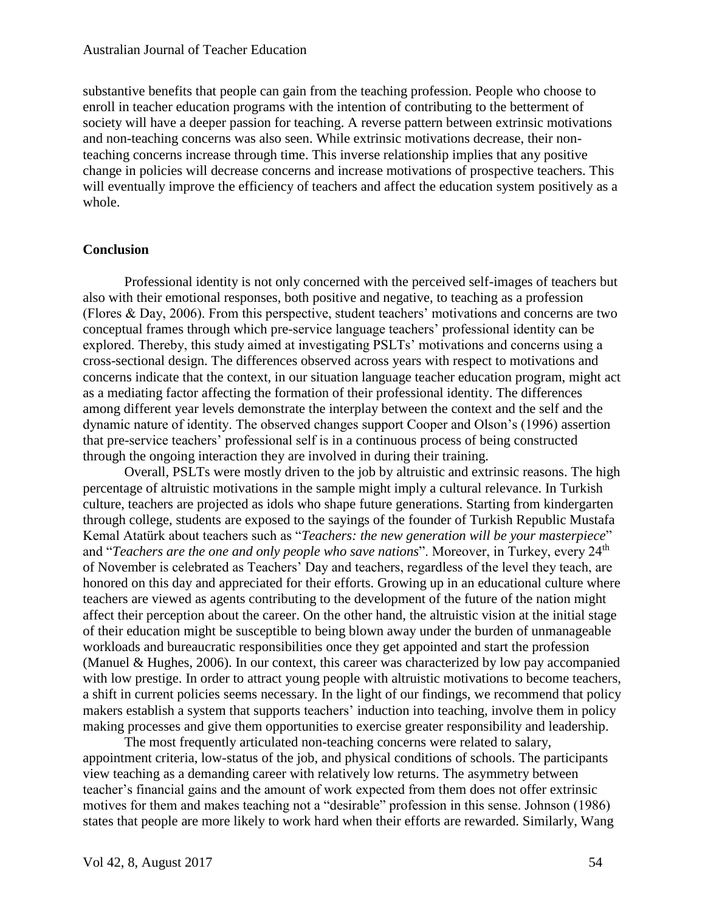substantive benefits that people can gain from the teaching profession. People who choose to enroll in teacher education programs with the intention of contributing to the betterment of society will have a deeper passion for teaching. A reverse pattern between extrinsic motivations and non-teaching concerns was also seen. While extrinsic motivations decrease, their nonteaching concerns increase through time. This inverse relationship implies that any positive change in policies will decrease concerns and increase motivations of prospective teachers. This will eventually improve the efficiency of teachers and affect the education system positively as a whole.

#### **Conclusion**

Professional identity is not only concerned with the perceived self-images of teachers but also with their emotional responses, both positive and negative, to teaching as a profession (Flores & Day, 2006). From this perspective, student teachers' motivations and concerns are two conceptual frames through which pre-service language teachers' professional identity can be explored. Thereby, this study aimed at investigating PSLTs' motivations and concerns using a cross-sectional design. The differences observed across years with respect to motivations and concerns indicate that the context, in our situation language teacher education program, might act as a mediating factor affecting the formation of their professional identity. The differences among different year levels demonstrate the interplay between the context and the self and the dynamic nature of identity. The observed changes support Cooper and Olson's (1996) assertion that pre-service teachers' professional self is in a continuous process of being constructed through the ongoing interaction they are involved in during their training.

Overall, PSLTs were mostly driven to the job by altruistic and extrinsic reasons. The high percentage of altruistic motivations in the sample might imply a cultural relevance. In Turkish culture, teachers are projected as idols who shape future generations. Starting from kindergarten through college, students are exposed to the sayings of the founder of Turkish Republic Mustafa Kemal Atatürk about teachers such as "*Teachers: the new generation will be your masterpiece*" and "*Teachers are the one and only people who save nations*". Moreover, in Turkey, every 24<sup>th</sup> of November is celebrated as Teachers' Day and teachers, regardless of the level they teach, are honored on this day and appreciated for their efforts. Growing up in an educational culture where teachers are viewed as agents contributing to the development of the future of the nation might affect their perception about the career. On the other hand, the altruistic vision at the initial stage of their education might be susceptible to being blown away under the burden of unmanageable workloads and bureaucratic responsibilities once they get appointed and start the profession (Manuel & Hughes, 2006). In our context, this career was characterized by low pay accompanied with low prestige. In order to attract young people with altruistic motivations to become teachers, a shift in current policies seems necessary. In the light of our findings, we recommend that policy makers establish a system that supports teachers' induction into teaching, involve them in policy making processes and give them opportunities to exercise greater responsibility and leadership.

The most frequently articulated non-teaching concerns were related to salary, appointment criteria, low-status of the job, and physical conditions of schools. The participants view teaching as a demanding career with relatively low returns. The asymmetry between teacher's financial gains and the amount of work expected from them does not offer extrinsic motives for them and makes teaching not a "desirable" profession in this sense. Johnson (1986) states that people are more likely to work hard when their efforts are rewarded. Similarly, Wang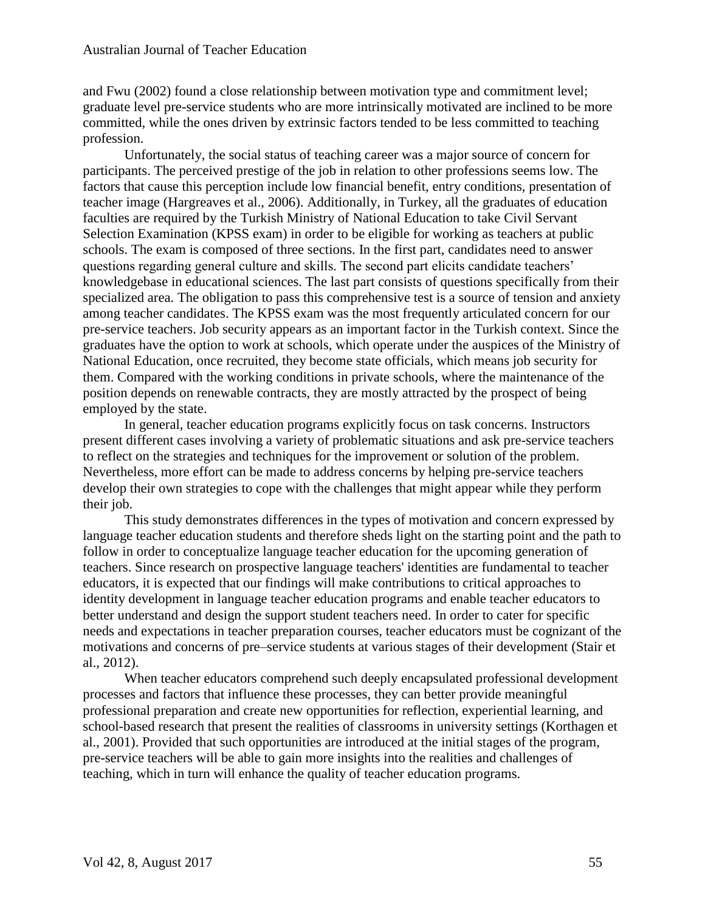and Fwu (2002) found a close relationship between motivation type and commitment level; graduate level pre-service students who are more intrinsically motivated are inclined to be more committed, while the ones driven by extrinsic factors tended to be less committed to teaching profession.

Unfortunately, the social status of teaching career was a major source of concern for participants. The perceived prestige of the job in relation to other professions seems low. The factors that cause this perception include low financial benefit, entry conditions, presentation of teacher image (Hargreaves et al., 2006). Additionally, in Turkey, all the graduates of education faculties are required by the Turkish Ministry of National Education to take Civil Servant Selection Examination (KPSS exam) in order to be eligible for working as teachers at public schools. The exam is composed of three sections. In the first part, candidates need to answer questions regarding general culture and skills. The second part elicits candidate teachers' knowledgebase in educational sciences. The last part consists of questions specifically from their specialized area. The obligation to pass this comprehensive test is a source of tension and anxiety among teacher candidates. The KPSS exam was the most frequently articulated concern for our pre-service teachers. Job security appears as an important factor in the Turkish context. Since the graduates have the option to work at schools, which operate under the auspices of the Ministry of National Education, once recruited, they become state officials, which means job security for them. Compared with the working conditions in private schools, where the maintenance of the position depends on renewable contracts, they are mostly attracted by the prospect of being employed by the state.

In general, teacher education programs explicitly focus on task concerns. Instructors present different cases involving a variety of problematic situations and ask pre-service teachers to reflect on the strategies and techniques for the improvement or solution of the problem. Nevertheless, more effort can be made to address concerns by helping pre-service teachers develop their own strategies to cope with the challenges that might appear while they perform their job.

This study demonstrates differences in the types of motivation and concern expressed by language teacher education students and therefore sheds light on the starting point and the path to follow in order to conceptualize language teacher education for the upcoming generation of teachers. Since research on prospective language teachers' identities are fundamental to teacher educators, it is expected that our findings will make contributions to critical approaches to identity development in language teacher education programs and enable teacher educators to better understand and design the support student teachers need. In order to cater for specific needs and expectations in teacher preparation courses, teacher educators must be cognizant of the motivations and concerns of pre–service students at various stages of their development (Stair et al., 2012).

When teacher educators comprehend such deeply encapsulated professional development processes and factors that influence these processes, they can better provide meaningful professional preparation and create new opportunities for reflection, experiential learning, and school-based research that present the realities of classrooms in university settings (Korthagen et al., 2001). Provided that such opportunities are introduced at the initial stages of the program, pre-service teachers will be able to gain more insights into the realities and challenges of teaching, which in turn will enhance the quality of teacher education programs.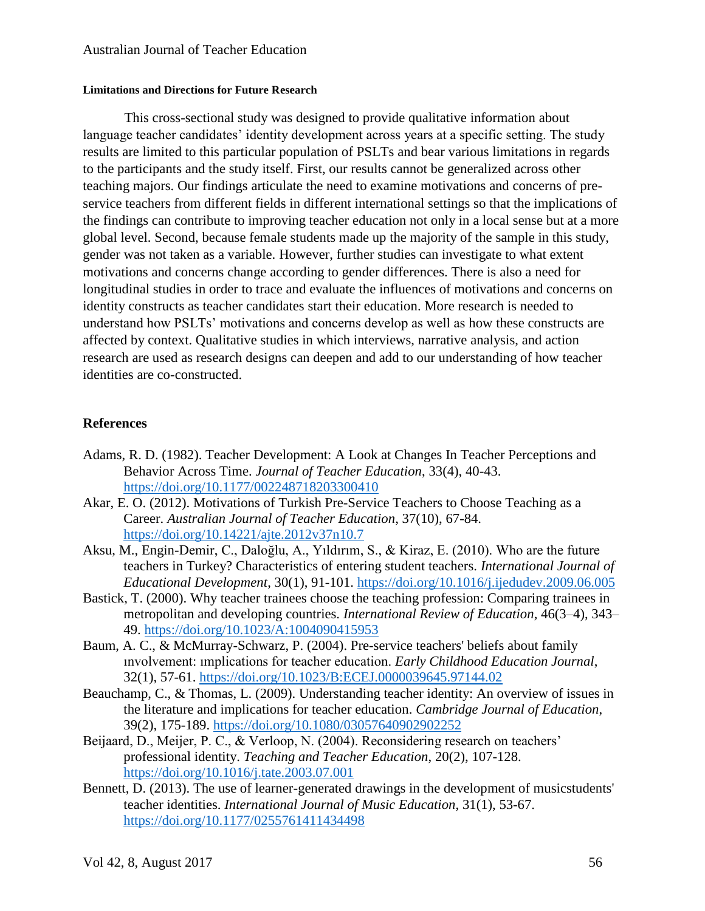#### **Limitations and Directions for Future Research**

This cross-sectional study was designed to provide qualitative information about language teacher candidates' identity development across years at a specific setting. The study results are limited to this particular population of PSLTs and bear various limitations in regards to the participants and the study itself. First, our results cannot be generalized across other teaching majors. Our findings articulate the need to examine motivations and concerns of preservice teachers from different fields in different international settings so that the implications of the findings can contribute to improving teacher education not only in a local sense but at a more global level. Second, because female students made up the majority of the sample in this study, gender was not taken as a variable. However, further studies can investigate to what extent motivations and concerns change according to gender differences. There is also a need for longitudinal studies in order to trace and evaluate the influences of motivations and concerns on identity constructs as teacher candidates start their education. More research is needed to understand how PSLTs' motivations and concerns develop as well as how these constructs are affected by context. Qualitative studies in which interviews, narrative analysis, and action research are used as research designs can deepen and add to our understanding of how teacher identities are co-constructed.

## **References**

- Adams, R. D. (1982). Teacher Development: A Look at Changes In Teacher Perceptions and Behavior Across Time. *Journal of Teacher Education*, 33(4), 40-43. <https://doi.org/10.1177/002248718203300410>
- Akar, E. O. (2012). Motivations of Turkish Pre-Service Teachers to Choose Teaching as a Career. *Australian Journal of Teacher Education*, 37(10), 67-84. <https://doi.org/10.14221/ajte.2012v37n10.7>
- Aksu, M., Engin-Demir, C., Daloğlu, A., Yıldırım, S., & Kiraz, E. (2010). Who are the future teachers in Turkey? Characteristics of entering student teachers. *International Journal of Educational Development*, 30(1), 91-101.<https://doi.org/10.1016/j.ijedudev.2009.06.005>
- Bastick, T. (2000). Why teacher trainees choose the teaching profession: Comparing trainees in metropolitan and developing countries. *International Review of Education*, 46(3–4), 343– 49.<https://doi.org/10.1023/A:1004090415953>
- Baum, A. C., & McMurray-Schwarz, P. (2004). Pre-service teachers' beliefs about family ınvolvement: ımplications for teacher education. *Early Childhood Education Journal*, 32(1), 57-61.<https://doi.org/10.1023/B:ECEJ.0000039645.97144.02>
- Beauchamp, C., & Thomas, L. (2009). Understanding teacher identity: An overview of issues in the literature and implications for teacher education. *Cambridge Journal of Education*, 39(2), 175-189. <https://doi.org/10.1080/03057640902902252>
- Beijaard, D., Meijer, P. C., & Verloop, N. (2004). Reconsidering research on teachers' professional identity. *Teaching and Teacher Education*, 20(2), 107-128. <https://doi.org/10.1016/j.tate.2003.07.001>
- Bennett, D. (2013). The use of learner-generated drawings in the development of musicstudents' teacher identities. *International Journal of Music Education*, 31(1), 53-67. <https://doi.org/10.1177/0255761411434498>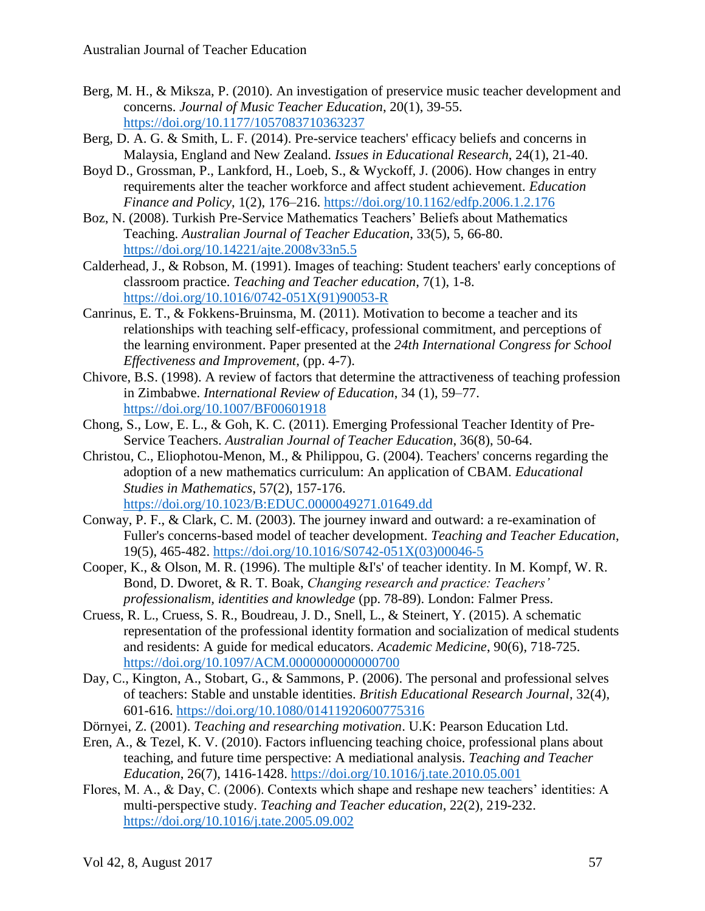- Berg, M. H., & Miksza, P. (2010). An investigation of preservice music teacher development and concerns. *Journal of Music Teacher Education*, 20(1), 39-55. <https://doi.org/10.1177/1057083710363237>
- Berg, D. A. G. & Smith, L. F. (2014). Pre-service teachers' efficacy beliefs and concerns in Malaysia, England and New Zealand. *Issues in Educational Research*, 24(1), 21-40.
- Boyd D., Grossman, P., Lankford, H., Loeb, S., & Wyckoff, J. (2006). How changes in entry requirements alter the teacher workforce and affect student achievement. *Education Finance and Policy*, 1(2), 176–216.<https://doi.org/10.1162/edfp.2006.1.2.176>
- Boz, N. (2008). Turkish Pre-Service Mathematics Teachers' Beliefs about Mathematics Teaching. *Australian Journal of Teacher Education*, 33(5), 5, 66-80. <https://doi.org/10.14221/ajte.2008v33n5.5>
- Calderhead, J., & Robson, M. (1991). Images of teaching: Student teachers' early conceptions of classroom practice. *Teaching and Teacher education*, 7(1), 1-8. [https://doi.org/10.1016/0742-051X\(91\)90053-R](https://doi.org/10.1016/0742-051X%2891%2990053-R)
- Canrinus, E. T., & Fokkens-Bruinsma, M. (2011). Motivation to become a teacher and its relationships with teaching self-efficacy, professional commitment, and perceptions of the learning environment. Paper presented at the *24th International Congress for School Effectiveness and Improvement*, (pp. 4-7).
- Chivore, B.S. (1998). A review of factors that determine the attractiveness of teaching profession in Zimbabwe. *International Review of Education*, 34 (1), 59–77. <https://doi.org/10.1007/BF00601918>
- Chong, S., Low, E. L., & Goh, K. C. (2011). Emerging Professional Teacher Identity of Pre-Service Teachers. *Australian Journal of Teacher Education*, 36(8), 50-64.
- Christou, C., Eliophotou-Menon, M., & Philippou, G. (2004). Teachers' concerns regarding the adoption of a new mathematics curriculum: An application of CBAM. *Educational Studies in Mathematics*, 57(2), 157-176. <https://doi.org/10.1023/B:EDUC.0000049271.01649.dd>
- Conway, P. F., & Clark, C. M. (2003). The journey inward and outward: a re-examination of Fuller's concerns-based model of teacher development. *Teaching and Teacher Education*, 19(5), 465-482. [https://doi.org/10.1016/S0742-051X\(03\)00046-5](https://doi.org/10.1016/S0742-051X%2803%2900046-5)
- Cooper, K., & Olson, M. R. (1996). The multiple &I's' of teacher identity. In M. Kompf, W. R. Bond, D. Dworet, & R. T. Boak, *Changing research and practice: Teachers' professionalism, identities and knowledge* (pp. 78-89). London: Falmer Press.
- Cruess, R. L., Cruess, S. R., Boudreau, J. D., Snell, L., & Steinert, Y. (2015). A schematic representation of the professional identity formation and socialization of medical students and residents: A guide for medical educators. *Academic Medicine*, 90(6), 718-725. <https://doi.org/10.1097/ACM.0000000000000700>
- Day, C., Kington, A., Stobart, G., & Sammons, P. (2006). The personal and professional selves of teachers: Stable and unstable identities. *British Educational Research Journal*, 32(4), 601-616.<https://doi.org/10.1080/01411920600775316>
- Dörnyei, Z. (2001). *Teaching and researching motivation*. U.K: Pearson Education Ltd.
- Eren, A., & Tezel, K. V. (2010). Factors influencing teaching choice, professional plans about teaching, and future time perspective: A mediational analysis. *Teaching and Teacher Education*, 26(7), 1416-1428.<https://doi.org/10.1016/j.tate.2010.05.001>
- Flores, M. A., & Day, C. (2006). Contexts which shape and reshape new teachers' identities: A multi-perspective study. *Teaching and Teacher education*, 22(2), 219-232. <https://doi.org/10.1016/j.tate.2005.09.002>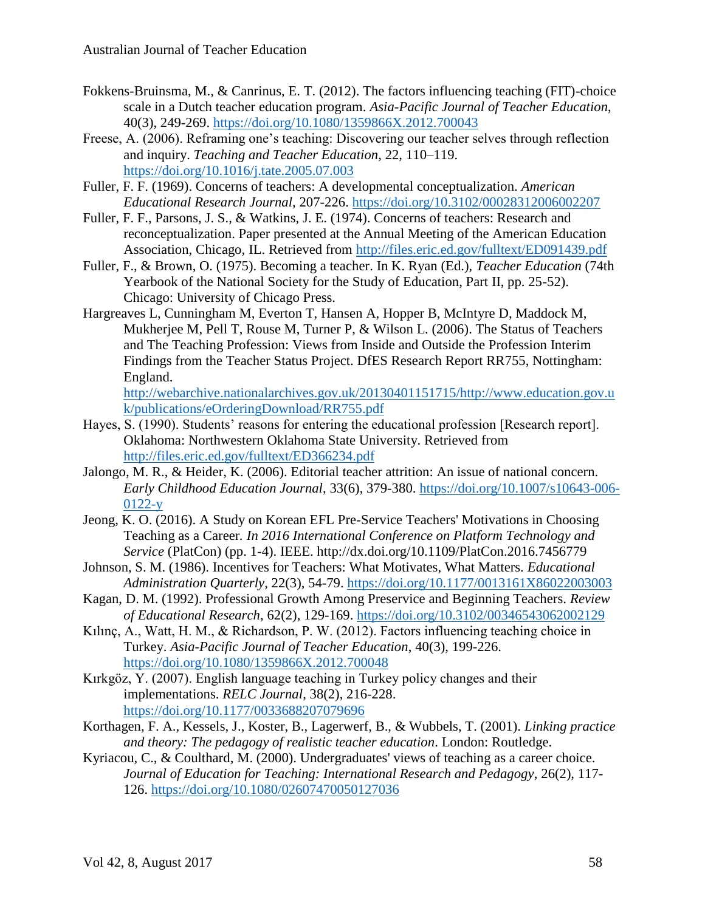- Fokkens-Bruinsma, M., & Canrinus, E. T. (2012). The factors influencing teaching (FIT)-choice scale in a Dutch teacher education program. *Asia-Pacific Journal of Teacher Education*, 40(3), 249-269.<https://doi.org/10.1080/1359866X.2012.700043>
- Freese, A. (2006). Reframing one's teaching: Discovering our teacher selves through reflection and inquiry. *Teaching and Teacher Education*, 22, 110–119. <https://doi.org/10.1016/j.tate.2005.07.003>
- Fuller, F. F. (1969). Concerns of teachers: A developmental conceptualization. *American Educational Research Journal*, 207-226. <https://doi.org/10.3102/00028312006002207>
- Fuller, F. F., Parsons, J. S., & Watkins, J. E. (1974). Concerns of teachers: Research and reconceptualization. Paper presented at the Annual Meeting of the American Education Association, Chicago, IL. Retrieved from<http://files.eric.ed.gov/fulltext/ED091439.pdf>
- Fuller, F., & Brown, O. (1975). Becoming a teacher. In K. Ryan (Ed.), *Teacher Education* (74th Yearbook of the National Society for the Study of Education, Part II, pp. 25-52). Chicago: University of Chicago Press.
- Hargreaves L, Cunningham M, Everton T, Hansen A, Hopper B, McIntyre D, Maddock M, Mukherjee M, Pell T, Rouse M, Turner P, & Wilson L. (2006). The Status of Teachers and The Teaching Profession: Views from Inside and Outside the Profession Interim Findings from the Teacher Status Project. DfES Research Report RR755, Nottingham: England.

[http://webarchive.nationalarchives.gov.uk/20130401151715/http://www.education.gov.u](http://webarchive.nationalarchives.gov.uk/20130401151715/http:/www.education.gov.uk/publications/eOrderingDownload/RR755.pdf) [k/publications/eOrderingDownload/RR755.pdf](http://webarchive.nationalarchives.gov.uk/20130401151715/http:/www.education.gov.uk/publications/eOrderingDownload/RR755.pdf)

- Hayes, S. (1990). Students' reasons for entering the educational profession [Research report]. Oklahoma: Northwestern Oklahoma State University. Retrieved from <http://files.eric.ed.gov/fulltext/ED366234.pdf>
- Jalongo, M. R., & Heider, K. (2006). Editorial teacher attrition: An issue of national concern. *Early Childhood Education Journal*, 33(6), 379-380. [https://doi.org/10.1007/s10643-006-](https://doi.org/10.1007/s10643-006-0122-y) [0122-y](https://doi.org/10.1007/s10643-006-0122-y)
- Jeong, K. O. (2016). A Study on Korean EFL Pre-Service Teachers' Motivations in Choosing Teaching as a Career*. In 2016 International Conference on Platform Technology and Service* (PlatCon) (pp. 1-4). IEEE. http://dx.doi.org/10.1109/PlatCon.2016.7456779
- Johnson, S. M. (1986). Incentives for Teachers: What Motivates, What Matters. *Educational Administration Quarterly*, 22(3), 54-79. <https://doi.org/10.1177/0013161X86022003003>
- Kagan, D. M. (1992). Professional Growth Among Preservice and Beginning Teachers. *Review of Educational Research*, 62(2), 129-169. <https://doi.org/10.3102/00346543062002129>
- Kılınç, A., Watt, H. M., & Richardson, P. W. (2012). Factors influencing teaching choice in Turkey. *Asia-Pacific Journal of Teacher Education*, 40(3), 199-226. <https://doi.org/10.1080/1359866X.2012.700048>
- Kırkgöz, Y. (2007). English language teaching in Turkey policy changes and their implementations. *RELC Journal*, 38(2), 216-228. <https://doi.org/10.1177/0033688207079696>
- Korthagen, F. A., Kessels, J., Koster, B., Lagerwerf, B., & Wubbels, T. (2001). *Linking practice and theory: The pedagogy of realistic teacher education*. London: Routledge.
- Kyriacou, C., & Coulthard, M. (2000). Undergraduates' views of teaching as a career choice. *Journal of Education for Teaching: International Research and Pedagogy*, 26(2), 117- 126. <https://doi.org/10.1080/02607470050127036>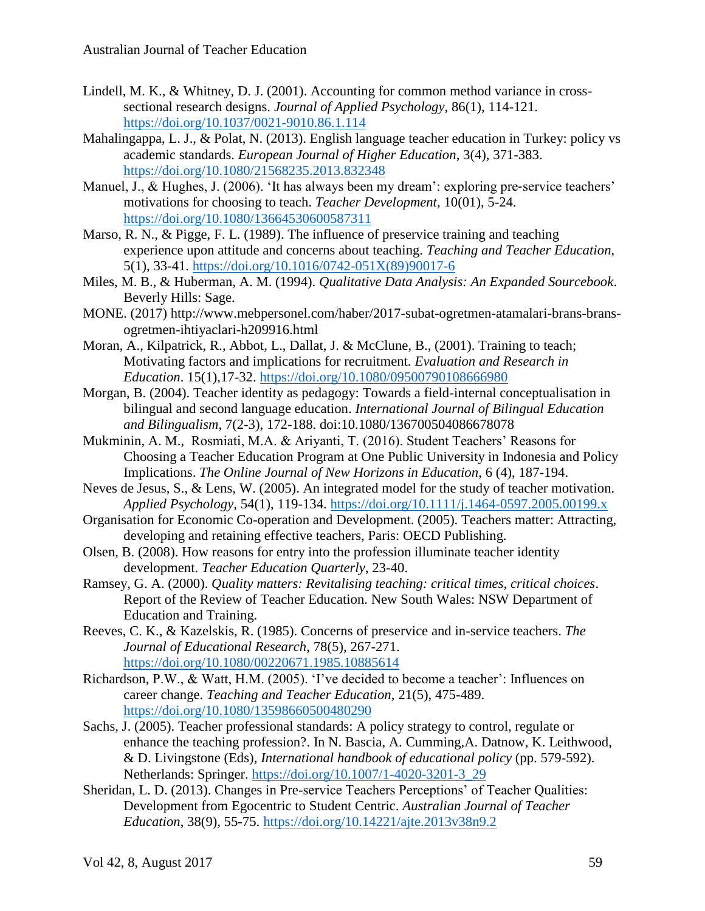- Lindell, M. K., & Whitney, D. J. (2001). Accounting for common method variance in crosssectional research designs. *Journal of Applied Psychology*, 86(1), 114-121. <https://doi.org/10.1037/0021-9010.86.1.114>
- Mahalingappa, L. J., & Polat, N. (2013). English language teacher education in Turkey: policy vs academic standards. *European Journal of Higher Education*, 3(4), 371-383. <https://doi.org/10.1080/21568235.2013.832348>
- Manuel, J., & Hughes, J. (2006). 'It has always been my dream': exploring pre-service teachers' motivations for choosing to teach. *Teacher Development*, 10(01), 5-24. <https://doi.org/10.1080/13664530600587311>
- Marso, R. N., & Pigge, F. L. (1989). The influence of preservice training and teaching experience upon attitude and concerns about teaching. *Teaching and Teacher Education*, 5(1), 33-41. [https://doi.org/10.1016/0742-051X\(89\)90017-6](https://doi.org/10.1016/0742-051X%2889%2990017-6)
- Miles, M. B., & Huberman, A. M. (1994). *Qualitative Data Analysis: An Expanded Sourcebook*. Beverly Hills: Sage.
- MONE. (2017) http://www.mebpersonel.com/haber/2017-subat-ogretmen-atamalari-brans-bransogretmen-ihtiyaclari-h209916.html
- Moran, A., Kilpatrick, R., Abbot, L., Dallat, J. & McClune, B., (2001). Training to teach; Motivating factors and implications for recruitment. *Evaluation and Research in Education*. 15(1),17-32.<https://doi.org/10.1080/09500790108666980>
- Morgan, B. (2004). Teacher identity as pedagogy: Towards a field-internal conceptualisation in bilingual and second language education. *International Journal of Bilingual Education and Bilingualism*, 7(2-3), 172-188. doi:10.1080/136700504086678078
- Mukminin, A. M., Rosmiati, M.A. & Ariyanti, T. (2016). Student Teachers' Reasons for Choosing a Teacher Education Program at One Public University in Indonesia and Policy Implications. *The Online Journal of New Horizons in Education*, 6 (4), 187-194.
- Neves de Jesus, S., & Lens, W. (2005). An integrated model for the study of teacher motivation. *Applied Psychology*, 54(1), 119-134.<https://doi.org/10.1111/j.1464-0597.2005.00199.x>
- Organisation for Economic Co-operation and Development. (2005). Teachers matter: Attracting, developing and retaining effective teachers, Paris: OECD Publishing.
- Olsen, B. (2008). How reasons for entry into the profession illuminate teacher identity development. *Teacher Education Quarterly*, 23-40.
- Ramsey, G. A. (2000). *Quality matters: Revitalising teaching: critical times, critical choices*. Report of the Review of Teacher Education. New South Wales: NSW Department of Education and Training.
- Reeves, C. K., & Kazelskis, R. (1985). Concerns of preservice and in-service teachers. *The Journal of Educational Research*, 78(5), 267-271. <https://doi.org/10.1080/00220671.1985.10885614>
- Richardson, P.W., & Watt, H.M. (2005). 'I've decided to become a teacher': Influences on career change. *Teaching and Teacher Education*, 21(5), 475-489. <https://doi.org/10.1080/13598660500480290>
- Sachs, J. (2005). Teacher professional standards: A policy strategy to control, regulate or enhance the teaching profession?. In N. Bascia, A. Cumming,A. Datnow, K. Leithwood, & D. Livingstone (Eds), *International handbook of educational policy* (pp. 579-592). Netherlands: Springer. [https://doi.org/10.1007/1-4020-3201-3\\_29](https://doi.org/10.1007/1-4020-3201-3_29)
- Sheridan, L. D. (2013). Changes in Pre-service Teachers Perceptions' of Teacher Qualities: Development from Egocentric to Student Centric. *Australian Journal of Teacher Education*, 38(9), 55-75.<https://doi.org/10.14221/ajte.2013v38n9.2>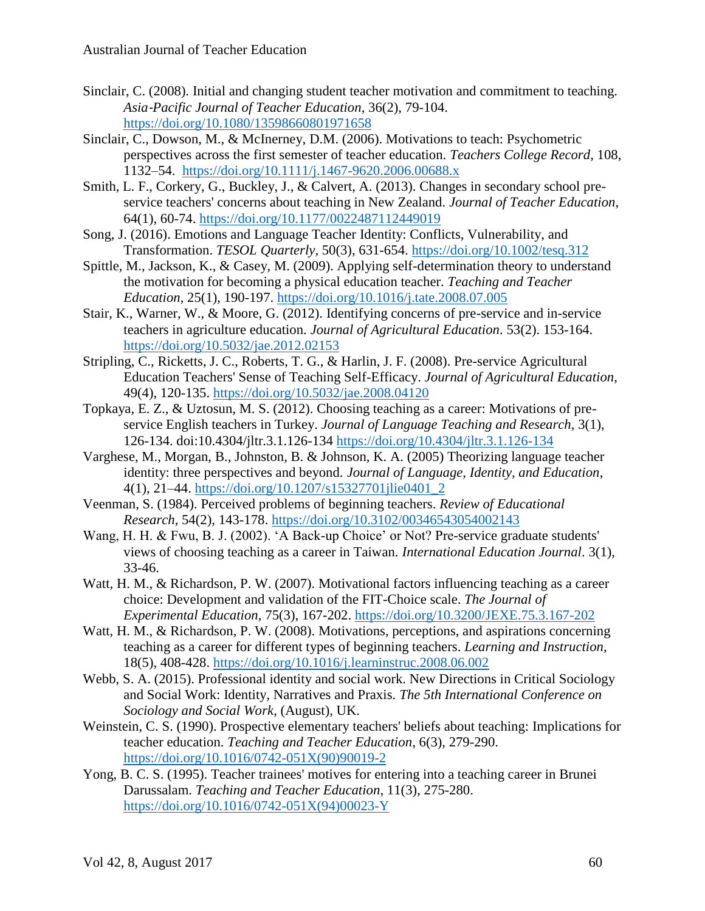- Sinclair, C. (2008). Initial and changing student teacher motivation and commitment to teaching. *Asia*‐*Pacific Journal of Teacher Education*, 36(2), 79-104. <https://doi.org/10.1080/13598660801971658>
- Sinclair, C., Dowson, M., & McInerney, D.M. (2006). Motivations to teach: Psychometric perspectives across the first semester of teacher education. *Teachers College Record*, 108, 1132–54. <https://doi.org/10.1111/j.1467-9620.2006.00688.x>
- Smith, L. F., Corkery, G., Buckley, J., & Calvert, A. (2013). Changes in secondary school preservice teachers' concerns about teaching in New Zealand. *Journal of Teacher Education*, 64(1), 60-74.<https://doi.org/10.1177/0022487112449019>
- Song, J. (2016). Emotions and Language Teacher Identity: Conflicts, Vulnerability, and Transformation. *TESOL Quarterly*, 50(3), 631-654.<https://doi.org/10.1002/tesq.312>
- Spittle, M., Jackson, K., & Casey, M. (2009). Applying self-determination theory to understand the motivation for becoming a physical education teacher. *Teaching and Teacher Education*, 25(1), 190-197.<https://doi.org/10.1016/j.tate.2008.07.005>
- Stair, K., Warner, W., & Moore, G. (2012). Identifying concerns of pre-service and in-service teachers in agriculture education. *Journal of Agricultural Education*. 53(2). 153-164. <https://doi.org/10.5032/jae.2012.02153>
- Stripling, C., Ricketts, J. C., Roberts, T. G., & Harlin, J. F. (2008). Pre-service Agricultural Education Teachers' Sense of Teaching Self-Efficacy. *Journal of Agricultural Education*, 49(4), 120-135. <https://doi.org/10.5032/jae.2008.04120>
- Topkaya, E. Z., & Uztosun, M. S. (2012). Choosing teaching as a career: Motivations of preservice English teachers in Turkey. *Journal of Language Teaching and Research*, 3(1), 126-134. doi:10.4304/jltr.3.1.126-134 <https://doi.org/10.4304/jltr.3.1.126-134>
- Varghese, M., Morgan, B., Johnston, B. & Johnson, K. A. (2005) Theorizing language teacher identity: three perspectives and beyond. *Journal of Language, Identity, and Education*, 4(1), 21–44. [https://doi.org/10.1207/s15327701jlie0401\\_2](https://doi.org/10.1207/s15327701jlie0401_2)
- Veenman, S. (1984). Perceived problems of beginning teachers. *Review of Educational Research*, 54(2), 143-178.<https://doi.org/10.3102/00346543054002143>
- Wang, H. H. & Fwu, B. J. (2002). 'A Back-up Choice' or Not? Pre-service graduate students' views of choosing teaching as a career in Taiwan. *International Education Journal*. 3(1), 33-46.
- Watt, H. M., & Richardson, P. W. (2007). Motivational factors influencing teaching as a career choice: Development and validation of the FIT-Choice scale. *The Journal of Experimental Education*, 75(3), 167-202.<https://doi.org/10.3200/JEXE.75.3.167-202>
- Watt, H. M., & Richardson, P. W. (2008). Motivations, perceptions, and aspirations concerning teaching as a career for different types of beginning teachers. *Learning and Instruction*, 18(5), 408-428.<https://doi.org/10.1016/j.learninstruc.2008.06.002>
- Webb, S. A. (2015). Professional identity and social work. New Directions in Critical Sociology and Social Work: Identity, Narratives and Praxis. *The 5th International Conference on Sociology and Social Work*, (August), UK.
- Weinstein, C. S. (1990). Prospective elementary teachers' beliefs about teaching: Implications for teacher education. *Teaching and Teacher Education*, 6(3), 279-290. [https://doi.org/10.1016/0742-051X\(90\)90019-2](https://doi.org/10.1016/0742-051X%2890%2990019-2)
- Yong, B. C. S. (1995). Teacher trainees' motives for entering into a teaching career in Brunei Darussalam. *Teaching and Teacher Education*, 11(3), 275-280. [https://doi.org/10.1016/0742-051X\(94\)00023-Y](https://doi.org/10.1016/0742-051X%2894%2900023-Y)